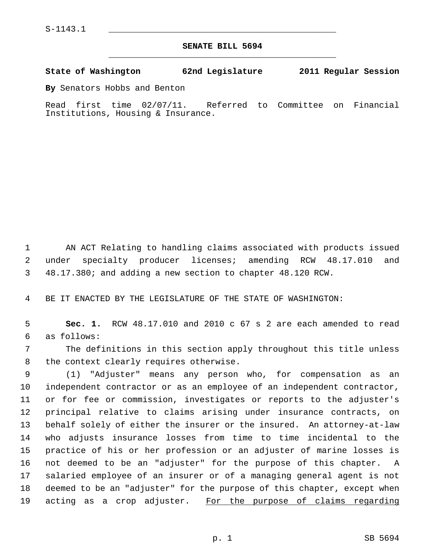## **SENATE BILL 5694** \_\_\_\_\_\_\_\_\_\_\_\_\_\_\_\_\_\_\_\_\_\_\_\_\_\_\_\_\_\_\_\_\_\_\_\_\_\_\_\_\_\_\_\_\_

## **State of Washington 62nd Legislature 2011 Regular Session**

**By** Senators Hobbs and Benton

Read first time 02/07/11. Referred to Committee on Financial Institutions, Housing & Insurance.

 1 AN ACT Relating to handling claims associated with products issued 2 under specialty producer licenses; amending RCW 48.17.010 and 3 48.17.380; and adding a new section to chapter 48.120 RCW.

4 BE IT ENACTED BY THE LEGISLATURE OF THE STATE OF WASHINGTON:

 5 **Sec. 1.** RCW 48.17.010 and 2010 c 67 s 2 are each amended to read 6 as follows:

 7 The definitions in this section apply throughout this title unless 8 the context clearly requires otherwise.

 9 (1) "Adjuster" means any person who, for compensation as an 10 independent contractor or as an employee of an independent contractor, 11 or for fee or commission, investigates or reports to the adjuster's 12 principal relative to claims arising under insurance contracts, on 13 behalf solely of either the insurer or the insured. An attorney-at-law 14 who adjusts insurance losses from time to time incidental to the 15 practice of his or her profession or an adjuster of marine losses is 16 not deemed to be an "adjuster" for the purpose of this chapter. A 17 salaried employee of an insurer or of a managing general agent is not 18 deemed to be an "adjuster" for the purpose of this chapter, except when 19 acting as a crop adjuster. For the purpose of claims regarding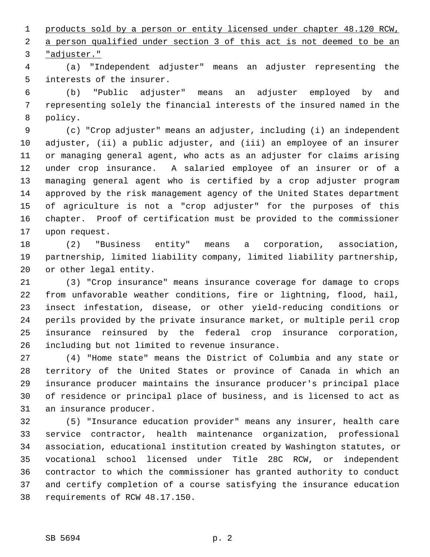1 products sold by a person or entity licensed under chapter 48.120 RCW, 2 a person qualified under section 3 of this act is not deemed to be an 3 "adjuster."

 4 (a) "Independent adjuster" means an adjuster representing the 5 interests of the insurer.

 6 (b) "Public adjuster" means an adjuster employed by and 7 representing solely the financial interests of the insured named in the 8 policy.

 9 (c) "Crop adjuster" means an adjuster, including (i) an independent 10 adjuster, (ii) a public adjuster, and (iii) an employee of an insurer 11 or managing general agent, who acts as an adjuster for claims arising 12 under crop insurance. A salaried employee of an insurer or of a 13 managing general agent who is certified by a crop adjuster program 14 approved by the risk management agency of the United States department 15 of agriculture is not a "crop adjuster" for the purposes of this 16 chapter. Proof of certification must be provided to the commissioner 17 upon request.

18 (2) "Business entity" means a corporation, association, 19 partnership, limited liability company, limited liability partnership, 20 or other legal entity.

21 (3) "Crop insurance" means insurance coverage for damage to crops 22 from unfavorable weather conditions, fire or lightning, flood, hail, 23 insect infestation, disease, or other yield-reducing conditions or 24 perils provided by the private insurance market, or multiple peril crop 25 insurance reinsured by the federal crop insurance corporation, 26 including but not limited to revenue insurance.

27 (4) "Home state" means the District of Columbia and any state or 28 territory of the United States or province of Canada in which an 29 insurance producer maintains the insurance producer's principal place 30 of residence or principal place of business, and is licensed to act as 31 an insurance producer.

32 (5) "Insurance education provider" means any insurer, health care 33 service contractor, health maintenance organization, professional 34 association, educational institution created by Washington statutes, or 35 vocational school licensed under Title 28C RCW, or independent 36 contractor to which the commissioner has granted authority to conduct 37 and certify completion of a course satisfying the insurance education 38 requirements of RCW 48.17.150.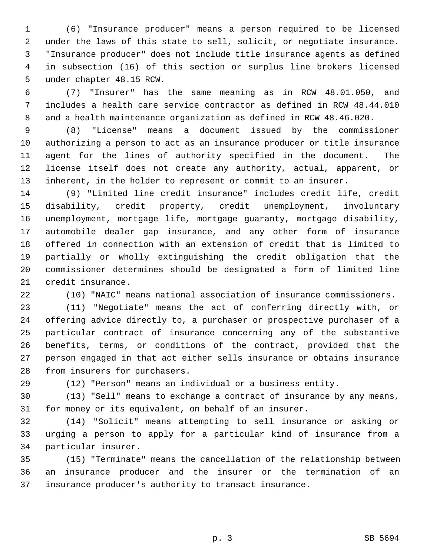1 (6) "Insurance producer" means a person required to be licensed 2 under the laws of this state to sell, solicit, or negotiate insurance. 3 "Insurance producer" does not include title insurance agents as defined 4 in subsection (16) of this section or surplus line brokers licensed 5 under chapter 48.15 RCW.

 6 (7) "Insurer" has the same meaning as in RCW 48.01.050, and 7 includes a health care service contractor as defined in RCW 48.44.010 8 and a health maintenance organization as defined in RCW 48.46.020.

 9 (8) "License" means a document issued by the commissioner 10 authorizing a person to act as an insurance producer or title insurance 11 agent for the lines of authority specified in the document. The 12 license itself does not create any authority, actual, apparent, or 13 inherent, in the holder to represent or commit to an insurer.

14 (9) "Limited line credit insurance" includes credit life, credit 15 disability, credit property, credit unemployment, involuntary 16 unemployment, mortgage life, mortgage guaranty, mortgage disability, 17 automobile dealer gap insurance, and any other form of insurance 18 offered in connection with an extension of credit that is limited to 19 partially or wholly extinguishing the credit obligation that the 20 commissioner determines should be designated a form of limited line 21 credit insurance.

22 (10) "NAIC" means national association of insurance commissioners.

23 (11) "Negotiate" means the act of conferring directly with, or 24 offering advice directly to, a purchaser or prospective purchaser of a 25 particular contract of insurance concerning any of the substantive 26 benefits, terms, or conditions of the contract, provided that the 27 person engaged in that act either sells insurance or obtains insurance 28 from insurers for purchasers.

29 (12) "Person" means an individual or a business entity.

30 (13) "Sell" means to exchange a contract of insurance by any means, 31 for money or its equivalent, on behalf of an insurer.

32 (14) "Solicit" means attempting to sell insurance or asking or 33 urging a person to apply for a particular kind of insurance from a 34 particular insurer.

35 (15) "Terminate" means the cancellation of the relationship between 36 an insurance producer and the insurer or the termination of an 37 insurance producer's authority to transact insurance.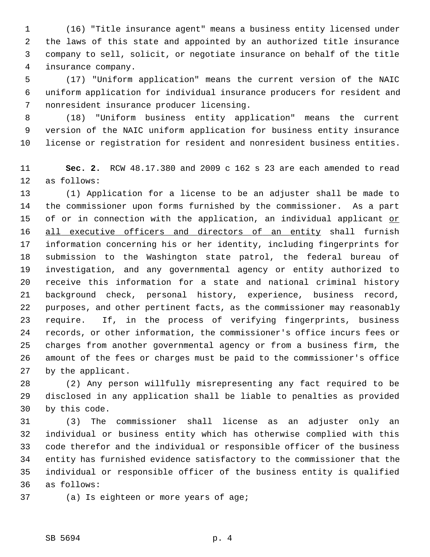1 (16) "Title insurance agent" means a business entity licensed under 2 the laws of this state and appointed by an authorized title insurance 3 company to sell, solicit, or negotiate insurance on behalf of the title 4 insurance company.

 5 (17) "Uniform application" means the current version of the NAIC 6 uniform application for individual insurance producers for resident and 7 nonresident insurance producer licensing.

 8 (18) "Uniform business entity application" means the current 9 version of the NAIC uniform application for business entity insurance 10 license or registration for resident and nonresident business entities.

11 **Sec. 2.** RCW 48.17.380 and 2009 c 162 s 23 are each amended to read 12 as follows:

13 (1) Application for a license to be an adjuster shall be made to 14 the commissioner upon forms furnished by the commissioner. As a part 15 of or in connection with the application, an individual applicant or 16 all executive officers and directors of an entity shall furnish 17 information concerning his or her identity, including fingerprints for 18 submission to the Washington state patrol, the federal bureau of 19 investigation, and any governmental agency or entity authorized to 20 receive this information for a state and national criminal history 21 background check, personal history, experience, business record, 22 purposes, and other pertinent facts, as the commissioner may reasonably 23 require. If, in the process of verifying fingerprints, business 24 records, or other information, the commissioner's office incurs fees or 25 charges from another governmental agency or from a business firm, the 26 amount of the fees or charges must be paid to the commissioner's office 27 by the applicant.

28 (2) Any person willfully misrepresenting any fact required to be 29 disclosed in any application shall be liable to penalties as provided 30 by this code.

31 (3) The commissioner shall license as an adjuster only an 32 individual or business entity which has otherwise complied with this 33 code therefor and the individual or responsible officer of the business 34 entity has furnished evidence satisfactory to the commissioner that the 35 individual or responsible officer of the business entity is qualified 36 as follows:

37 (a) Is eighteen or more years of age;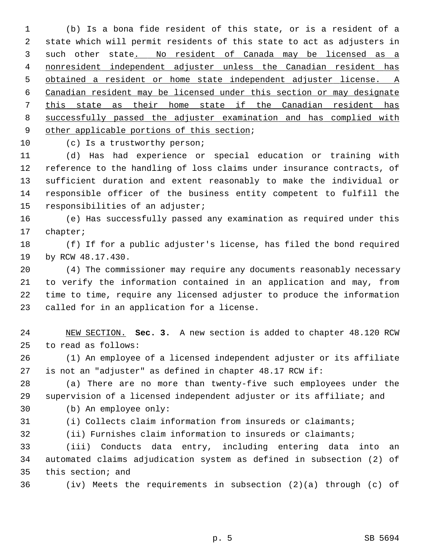1 (b) Is a bona fide resident of this state, or is a resident of a 2 state which will permit residents of this state to act as adjusters in 3 such other state. No resident of Canada may be licensed as a nonresident independent adjuster unless the Canadian resident has obtained a resident or home state independent adjuster license. A Canadian resident may be licensed under this section or may designate this state as their home state if the Canadian resident has successfully passed the adjuster examination and has complied with other applicable portions of this section;

10 (c) Is a trustworthy person;

11 (d) Has had experience or special education or training with 12 reference to the handling of loss claims under insurance contracts, of 13 sufficient duration and extent reasonably to make the individual or 14 responsible officer of the business entity competent to fulfill the 15 responsibilities of an adjuster;

16 (e) Has successfully passed any examination as required under this 17 chapter;

18 (f) If for a public adjuster's license, has filed the bond required 19 by RCW 48.17.430.

20 (4) The commissioner may require any documents reasonably necessary 21 to verify the information contained in an application and may, from 22 time to time, require any licensed adjuster to produce the information 23 called for in an application for a license.

24 NEW SECTION. **Sec. 3.** A new section is added to chapter 48.120 RCW 25 to read as follows:

26 (1) An employee of a licensed independent adjuster or its affiliate 27 is not an "adjuster" as defined in chapter 48.17 RCW if:

28 (a) There are no more than twenty-five such employees under the 29 supervision of a licensed independent adjuster or its affiliate; and 30 (b) An employee only:

31 (i) Collects claim information from insureds or claimants;

32 (ii) Furnishes claim information to insureds or claimants;

33 (iii) Conducts data entry, including entering data into an 34 automated claims adjudication system as defined in subsection (2) of 35 this section; and

36 (iv) Meets the requirements in subsection (2)(a) through (c) of